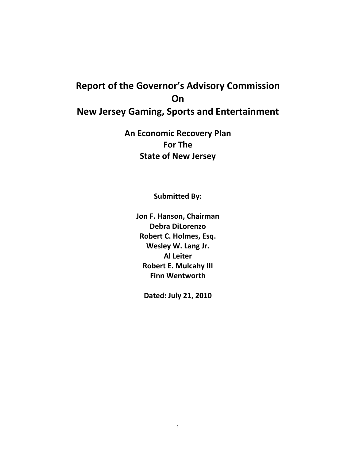# **Report of the Governor's Advisory Commission On New Jersey Gaming, Sports and Entertainment**

**An Economic Recovery Plan For The State of New Jersey**

**Submitted By:**

**Jon F. Hanson, Chairman Debra DiLorenzo Robert C. Holmes, Esq. Wesley W. Lang Jr. Al Leiter Robert E. Mulcahy III Finn Wentworth**

**Dated: July 21, 2010**

1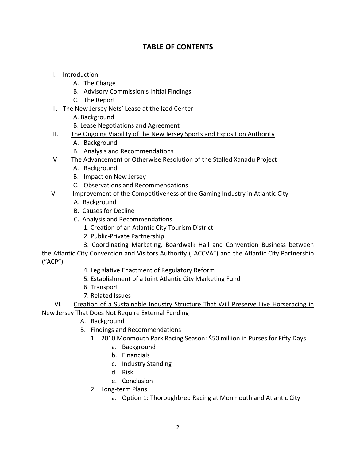# **TABLE OF CONTENTS**

- I. Introduction
	- A. The Charge
	- B. Advisory Commission's Initial Findings
	- C. The Report
- II. The New Jersey Nets' Lease at the Izod Center
	- A. Background
	- B. Lease Negotiations and Agreement
- III. The Ongoing Viability of the New Jersey Sports and Exposition Authority
	- A. Background
	- B. Analysis and Recommendations
- IV The Advancement or Otherwise Resolution of the Stalled Xanadu Project
	- A. Background
	- B. Impact on New Jersey
	- C. Observations and Recommendations

#### V. **Improvement of the Competitiveness of the Gaming Industry in Atlantic City**

- A. Background
- B. Causes for Decline
- C. Analysis and Recommendations
	- 1. Creation of an Atlantic City Tourism District
	- 2. Public-Private Partnership
	- 3. Coordinating Marketing, Boardwalk Hall and Convention Business between

the Atlantic City Convention and Visitors Authority ("ACCVA") and the Atlantic City Partnership ("ACP")

- 4. Legislative Enactment of Regulatory Reform
- 5. Establishment of a Joint Atlantic City Marketing Fund
- 6. Transport
- 7. Related Issues

 VI. Creation of a Sustainable Industry Structure That Will Preserve Live Horseracing in New Jersey That Does Not Require External Funding

- A. Background
- B. Findings and Recommendations
	- 1. 2010 Monmouth Park Racing Season: \$50 million in Purses for Fifty Days
		- a. Background
		- b. Financials
		- c. Industry Standing
		- d. Risk
		- e. Conclusion
	- 2. Long-term Plans
		- a. Option 1: Thoroughbred Racing at Monmouth and Atlantic City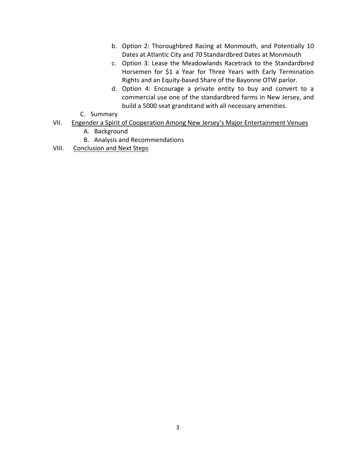- b. Option 2: Thoroughbred Racing at Monmouth, and Potentially 10 Dates at Atlantic City and 70 Standardbred Dates at Monmouth
- c. Option 3: Lease the Meadowlands Racetrack to the Standardbred Horsemen for \$1 a Year for Three Years with Early Termination Rights and an Equity-based Share of the Bayonne OTW parlor.
- d. Option 4: Encourage a private entity to buy and convert to a commercial use one of the standardbred farms in New Jersey, and build a 5000 seat grandstand with all necessary amenities.
- C. Summary
- VII. Engender a Spirit of Cooperation Among New Jersey's Major Entertainment Venues
	- A. Background
	- B. Analysis and Recommendations
- VIII. Conclusion and Next Steps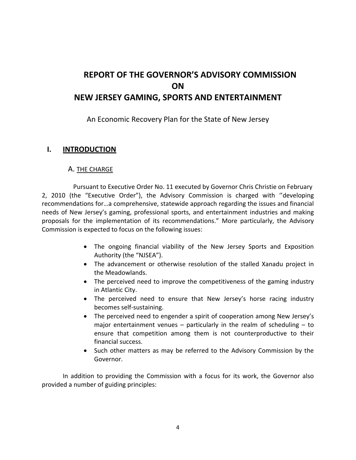# **REPORT OF THE GOVERNOR'S ADVISORY COMMISSION ON NEW JERSEY GAMING, SPORTS AND ENTERTAINMENT**

## An Economic Recovery Plan for the State of New Jersey

## **I. INTRODUCTION**

#### A. THE CHARGE

Pursuant to Executive Order No. 11 executed by Governor Chris Christie on February 2, 2010 (the "Executive Order"), the Advisory Commission is charged with ''developing recommendations for…a comprehensive, statewide approach regarding the issues and financial needs of New Jersey's gaming, professional sports, and entertainment industries and making proposals for the implementation of its recommendations." More particularly, the Advisory Commission is expected to focus on the following issues:

- The ongoing financial viability of the New Jersey Sports and Exposition Authority (the "NJSEA").
- The advancement or otherwise resolution of the stalled Xanadu project in the Meadowlands.
- The perceived need to improve the competitiveness of the gaming industry in Atlantic City.
- The perceived need to ensure that New Jersey's horse racing industry becomes self-sustaining.
- The perceived need to engender a spirit of cooperation among New Jersey's major entertainment venues  $-$  particularly in the realm of scheduling  $-$  to ensure that competition among them is not counterproductive to their financial success.
- Such other matters as may be referred to the Advisory Commission by the Governor.

In addition to providing the Commission with a focus for its work, the Governor also provided a number of guiding principles: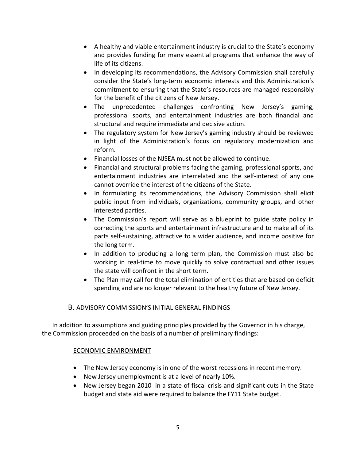- A healthy and viable entertainment industry is crucial to the State's economy and provides funding for many essential programs that enhance the way of life of its citizens.
- In developing its recommendations, the Advisory Commission shall carefully consider the State's long-term economic interests and this Administration's commitment to ensuring that the State's resources are managed responsibly for the benefit of the citizens of New Jersey.
- The unprecedented challenges confronting New Jersey's gaming, professional sports, and entertainment industries are both financial and structural and require immediate and decisive action.
- The regulatory system for New Jersey's gaming industry should be reviewed in light of the Administration's focus on regulatory modernization and reform.
- Financial losses of the NJSEA must not be allowed to continue.
- Financial and structural problems facing the gaming, professional sports, and entertainment industries are interrelated and the self-interest of any one cannot override the interest of the citizens of the State.
- In formulating its recommendations, the Advisory Commission shall elicit public input from individuals, organizations, community groups, and other interested parties.
- The Commission's report will serve as a blueprint to guide state policy in correcting the sports and entertainment infrastructure and to make all of its parts self-sustaining, attractive to a wider audience, and income positive for the long term.
- In addition to producing a long term plan, the Commission must also be working in real-time to move quickly to solve contractual and other issues the state will confront in the short term.
- The Plan may call for the total elimination of entities that are based on deficit spending and are no longer relevant to the healthy future of New Jersey.

#### B. ADVISORY COMMISSION'S INITIAL GENERAL FINDINGS

In addition to assumptions and guiding principles provided by the Governor in his charge, the Commission proceeded on the basis of a number of preliminary findings:

#### ECONOMIC ENVIRONMENT

- The New Jersey economy is in one of the worst recessions in recent memory.
- New Jersey unemployment is at a level of nearly 10%.
- New Jersey began 2010 in a state of fiscal crisis and significant cuts in the State budget and state aid were required to balance the FY11 State budget.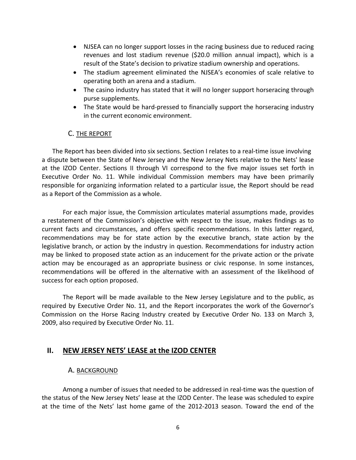- NJSEA can no longer support losses in the racing business due to reduced racing revenues and lost stadium revenue (\$20.0 million annual impact), which is a result of the State's decision to privatize stadium ownership and operations.
- The stadium agreement eliminated the NJSEA's economies of scale relative to operating both an arena and a stadium.
- The casino industry has stated that it will no longer support horseracing through purse supplements.
- The State would be hard-pressed to financially support the horseracing industry in the current economic environment.

## C. THE REPORT

The Report has been divided into six sections. Section I relates to a real-time issue involving a dispute between the State of New Jersey and the New Jersey Nets relative to the Nets' lease at the IZOD Center. Sections II through VI correspond to the five major issues set forth in Executive Order No. 11. While individual Commission members may have been primarily responsible for organizing information related to a particular issue, the Report should be read as a Report of the Commission as a whole.

For each major issue, the Commission articulates material assumptions made, provides a restatement of the Commission's objective with respect to the issue, makes findings as to current facts and circumstances, and offers specific recommendations. In this latter regard, recommendations may be for state action by the executive branch, state action by the legislative branch, or action by the industry in question. Recommendations for industry action may be linked to proposed state action as an inducement for the private action or the private action may be encouraged as an appropriate business or civic response. In some instances, recommendations will be offered in the alternative with an assessment of the likelihood of success for each option proposed.

The Report will be made available to the New Jersey Legislature and to the public, as required by Executive Order No. 11, and the Report incorporates the work of the Governor's Commission on the Horse Racing Industry created by Executive Order No. 133 on March 3, 2009, also required by Executive Order No. 11.

## **II. NEW JERSEY NETS' LEASE at the IZOD CENTER**

#### A. BACKGROUND

Among a number of issues that needed to be addressed in real-time was the question of the status of the New Jersey Nets' lease at the IZOD Center. The lease was scheduled to expire at the time of the Nets' last home game of the 2012-2013 season. Toward the end of the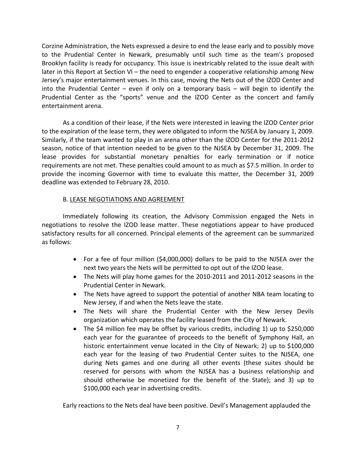Corzine Administration, the Nets expressed a desire to end the lease early and to possibly move to the Prudential Center in Newark, presumably until such time as the team's proposed Brooklyn facility is ready for occupancy. This issue is inextricably related to the issue dealt with later in this Report at Section VI – the need to engender a cooperative relationship among New Jersey's major entertainment venues. In this case, moving the Nets out of the IZOD Center and into the Prudential Center – even if only on a temporary basis – will begin to identify the Prudential Center as the "sports" venue and the IZOD Center as the concert and family entertainment arena.

As a condition of their lease, if the Nets were interested in leaving the IZOD Center prior to the expiration of the lease term, they were obligated to inform the NJSEA by January 1, 2009. Similarly, if the team wanted to play in an arena other than the IZOD Center for the 2011-2012 season, notice of that intention needed to be given to the NJSEA by December 31, 2009. The lease provides for substantial monetary penalties for early termination or if notice requirements are not met. These penalties could amount to as much as \$7.5 million. In order to provide the incoming Governor with time to evaluate this matter, the December 31, 2009 deadline was extended to February 28, 2010.

#### B. LEASE NEGOTIATIONS AND AGREEMENT

Immediately following its creation, the Advisory Commission engaged the Nets in negotiations to resolve the IZOD lease matter. These negotiations appear to have produced satisfactory results for all concerned. Principal elements of the agreement can be summarized as follows:

- For a fee of four million (\$4,000,000) dollars to be paid to the NJSEA over the next two years the Nets will be permitted to opt out of the IZOD lease.
- The Nets will play home games for the 2010-2011 and 2011-2012 seasons in the Prudential Center in Newark.
- The Nets have agreed to support the potential of another NBA team locating to New Jersey, if and when the Nets leave the state.
- The Nets will share the Prudential Center with the New Jersey Devils organization which operates the facility leased from the City of Newark.
- The \$4 million fee may be offset by various credits, including 1) up to \$250,000 each year for the guarantee of proceeds to the benefit of Symphony Hall, an historic entertainment venue located in the City of Newark; 2) up to \$100,000 each year for the leasing of two Prudential Center suites to the NJSEA, one during Nets games and one during all other events (these suites should be reserved for persons with whom the NJSEA has a business relationship and should otherwise be monetized for the benefit of the State); and 3) up to \$100,000 each year in advertising credits.

Early reactions to the Nets deal have been positive. Devil's Management applauded the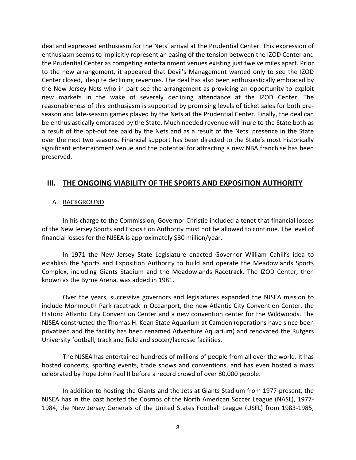deal and expressed enthusiasm for the Nets' arrival at the Prudential Center. This expression of enthusiasm seems to implicitly represent an easing of the tension between the IZOD Center and the Prudential Center as competing entertainment venues existing just twelve miles apart. Prior to the new arrangement, it appeared that Devil's Management wanted only to see the IZOD Center closed, despite declining revenues. The deal has also been enthusiastically embraced by the New Jersey Nets who in part see the arrangement as providing an opportunity to exploit new markets in the wake of severely declining attendance at the IZOD Center. The reasonableness of this enthusiasm is supported by promising levels of ticket sales for both preseason and late-season games played by the Nets at the Prudential Center. Finally, the deal can be enthusiastically embraced by the State. Much needed revenue will inure to the State both as a result of the opt-out fee paid by the Nets and as a result of the Nets' presence in the State over the next two seasons. Financial support has been directed to the State's most historically significant entertainment venue and the potential for attracting a new NBA franchise has been preserved.

## **III. THE ONGOING VIABILITY OF THE SPORTS AND EXPOSITION AUTHORITY**

#### A. BACKGROUND

In his charge to the Commission, Governor Christie included a tenet that financial losses of the New Jersey Sports and Exposition Authority must not be allowed to continue. The level of financial losses for the NJSEA is approximately \$30 million/year.

In 1971 the New Jersey State Legislature enacted Governor William Cahill's idea to establish the Sports and Exposition Authority to build and operate the Meadowlands Sports Complex, including Giants Stadium and the Meadowlands Racetrack. The IZOD Center, then known as the Byrne Arena, was added in 1981.

Over the years, successive governors and legislatures expanded the NJSEA mission to include Monmouth Park racetrack in Oceanport, the new Atlantic City Convention Center, the Historic Atlantic City Convention Center and a new convention center for the Wildwoods. The NJSEA constructed the Thomas H. Kean State Aquarium at Camden (operations have since been privatized and the facility has been renamed Adventure Aquarium) and renovated the Rutgers University football, track and field and soccer/lacrosse facilities.

The NJSEA has entertained hundreds of millions of people from all over the world. It has hosted concerts, sporting events, trade shows and conventions, and has even hosted a mass celebrated by Pope John Paul II before a record crowd of over 80,000 people.

In addition to hosting the Giants and the Jets at Giants Stadium from 1977-present, the NJSEA has in the past hosted the Cosmos of the North American Soccer League (NASL), 1977-1984, the New Jersey Generals of the United States Football League (USFL) from 1983-1985,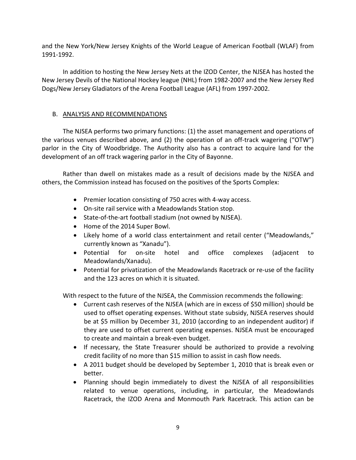and the New York/New Jersey Knights of the World League of American Football (WLAF) from 1991-1992.

In addition to hosting the New Jersey Nets at the IZOD Center, the NJSEA has hosted the New Jersey Devils of the National Hockey league (NHL) from 1982-2007 and the New Jersey Red Dogs/New Jersey Gladiators of the Arena Football League (AFL) from 1997-2002.

#### B. ANALYSIS AND RECOMMENDATIONS

The NJSEA performs two primary functions: (1) the asset management and operations of the various venues described above, and  $(2)$  the operation of an off-track wagering ("OTW") parlor in the City of Woodbridge. The Authority also has a contract to acquire land for the development of an off track wagering parlor in the City of Bayonne.

Rather than dwell on mistakes made as a result of decisions made by the NJSEA and others, the Commission instead has focused on the positives of the Sports Complex:

- Premier location consisting of 750 acres with 4-way access.
- On-site rail service with a Meadowlands Station stop.
- State-of-the-art football stadium (not owned by NJSEA).
- Home of the 2014 Super Bowl.
- Likely home of a world class entertainment and retail center ("Meadowlands," currently known as "Xanadu").
- Potential for on-site hotel and office complexes (adjacent to Meadowlands/Xanadu).
- Potential for privatization of the Meadowlands Racetrack or re-use of the facility and the 123 acres on which it is situated.

With respect to the future of the NJSEA, the Commission recommends the following:

- Current cash reserves of the NJSEA (which are in excess of \$50 million) should be used to offset operating expenses. Without state subsidy, NJSEA reserves should be at \$5 million by December 31, 2010 (according to an independent auditor) if they are used to offset current operating expenses. NJSEA must be encouraged to create and maintain a break-even budget.
- If necessary, the State Treasurer should be authorized to provide a revolving credit facility of no more than \$15 million to assist in cash flow needs.
- A 2011 budget should be developed by September 1, 2010 that is break even or better.
- Planning should begin immediately to divest the NJSEA of all responsibilities related to venue operations, including, in particular, the Meadowlands Racetrack, the IZOD Arena and Monmouth Park Racetrack. This action can be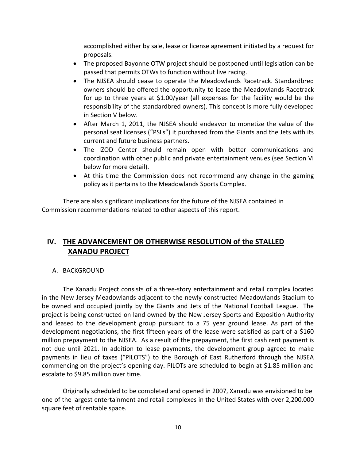accomplished either by sale, lease or license agreement initiated by a request for proposals.

- The proposed Bayonne OTW project should be postponed until legislation can be passed that permits OTWs to function without live racing.
- The NJSEA should cease to operate the Meadowlands Racetrack. Standardbred owners should be offered the opportunity to lease the Meadowlands Racetrack for up to three years at \$1.00/year (all expenses for the facility would be the responsibility of the standardbred owners). This concept is more fully developed in Section V below.
- After March 1, 2011, the NJSEA should endeavor to monetize the value of the personal seat licenses ("PSLs") it purchased from the Giants and the Jets with its current and future business partners.
- The IZOD Center should remain open with better communications and coordination with other public and private entertainment venues (see Section VI below for more detail).
- At this time the Commission does not recommend any change in the gaming policy as it pertains to the Meadowlands Sports Complex.

There are also significant implications for the future of the NJSEA contained in Commission recommendations related to other aspects of this report.

# **IV. THE ADVANCEMENT OR OTHERWISE RESOLUTION of the STALLED XANADU PROJECT**

## A. <u>BACKGROUND</u>

The Xanadu Project consists of a three-story entertainment and retail complex located in the New Jersey Meadowlands adjacent to the newly constructed Meadowlands Stadium to be owned and occupied jointly by the Giants and Jets of the National Football League. The project is being constructed on land owned by the New Jersey Sports and Exposition Authority and leased to the development group pursuant to a 75 year ground lease. As part of the development negotiations, the first fifteen years of the lease were satisfied as part of a \$160 million prepayment to the NJSEA. As a result of the prepayment, the first cash rent payment is not due until 2021. In addition to lease payments, the development group agreed to make payments in lieu of taxes ("PILOTS") to the Borough of East Rutherford through the NJSEA commencing on the project's opening day. PILOTs are scheduled to begin at \$1.85 million and escalate to \$9.85 million over time.

Originally scheduled to be completed and opened in 2007, Xanadu was envisioned to be one of the largest entertainment and retail complexes in the United States with over 2,200,000 square feet of rentable space.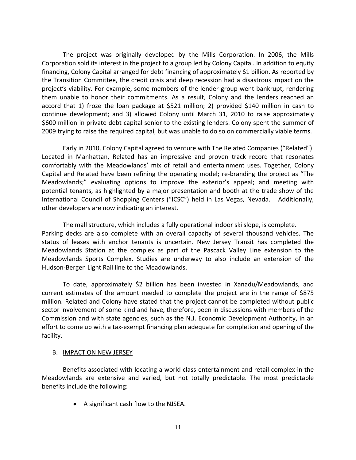The project was originally developed by the Mills Corporation. In 2006, the Mills Corporation sold its interest in the project to a group led by Colony Capital. In addition to equity financing, Colony Capital arranged for debt financing of approximately \$1 billion. As reported by the Transition Committee, the credit crisis and deep recession had a disastrous impact on the project's viability. For example, some members of the lender group went bankrupt, rendering them unable to honor their commitments. As a result, Colony and the lenders reached an accord that 1) froze the loan package at \$521 million; 2) provided \$140 million in cash to continue development; and 3) allowed Colony until March 31, 2010 to raise approximately \$600 million in private debt capital senior to the existing lenders. Colony spent the summer of 2009 trying to raise the required capital, but was unable to do so on commercially viable terms.

Early in 2010, Colony Capital agreed to venture with The Related Companies ("Related"). Located in Manhattan, Related has an impressive and proven track record that resonates comfortably with the Meadowlands' mix of retail and entertainment uses. Together, Colony Capital and Related have been refining the operating model; re-branding the project as "The Meadowlands;" evaluating options to improve the exterior's appeal; and meeting with potential tenants, as highlighted by a major presentation and booth at the trade show of the International Council of Shopping Centers ("ICSC") held in Las Vegas, Nevada. Additionally, other developers are now indicating an interest.

The mall structure, which includes a fully operational indoor ski slope, is complete. Parking decks are also complete with an overall capacity of several thousand vehicles. The status of leases with anchor tenants is uncertain. New Jersey Transit has completed the Meadowlands Station at the complex as part of the Pascack Valley Line extension to the Meadowlands Sports Complex. Studies are underway to also include an extension of the Hudson-Bergen Light Rail line to the Meadowlands.

To date, approximately \$2 billion has been invested in Xanadu/Meadowlands, and current estimates of the amount needed to complete the project are in the range of \$875 million. Related and Colony have stated that the project cannot be completed without public sector involvement of some kind and have, therefore, been in discussions with members of the Commission and with state agencies, such as the N.J. Economic Development Authority, in an effort to come up with a tax-exempt financing plan adequate for completion and opening of the facility.

#### B. IMPACT ON NEW JERSEY

Benefits associated with locating a world class entertainment and retail complex in the Meadowlands are extensive and varied, but not totally predictable. The most predictable benefits include the following:

• A significant cash flow to the NJSEA.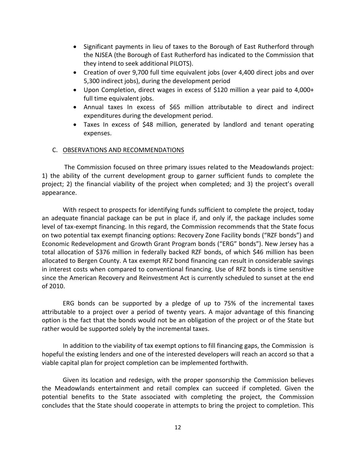- Significant payments in lieu of taxes to the Borough of East Rutherford through the NJSEA (the Borough of East Rutherford has indicated to the Commission that they intend to seek additional PILOTS).
- Creation of over 9,700 full time equivalent jobs (over 4,400 direct jobs and over 5,300 indirect jobs), during the development period
- Upon Completion, direct wages in excess of \$120 million a year paid to 4,000+ full time equivalent jobs.
- Annual taxes In excess of \$65 million attributable to direct and indirect expenditures during the development period.
- Taxes In excess of \$48 million, generated by landlord and tenant operating expenses.

#### C. OBSERVATIONS AND RECOMMENDATIONS

 The Commission focused on three primary issues related to the Meadowlands project: 1) the ability of the current development group to garner sufficient funds to complete the project; 2) the financial viability of the project when completed; and 3) the project's overall appearance.

With respect to prospects for identifying funds sufficient to complete the project, today an adequate financial package can be put in place if, and only if, the package includes some level of tax-exempt financing. In this regard, the Commission recommends that the State focus on two potential tax exempt financing options: Recovery Zone Facility bonds ("RZF bonds") and Economic Redevelopment and Growth Grant Program bonds ("ERG" bonds"). New Jersey has a total allocation of \$376 million in federally backed RZF bonds, of which \$46 million has been allocated to Bergen County. A tax exempt RFZ bond financing can result in considerable savings in interest costs when compared to conventional financing. Use of RFZ bonds is time sensitive since the American Recovery and Reinvestment Act is currently scheduled to sunset at the end of 2010.

ERG bonds can be supported by a pledge of up to 75% of the incremental taxes attributable to a project over a period of twenty years. A major advantage of this financing option is the fact that the bonds would not be an obligation of the project or of the State but rather would be supported solely by the incremental taxes.

In addition to the viability of tax exempt options to fill financing gaps, the Commission is hopeful the existing lenders and one of the interested developers will reach an accord so that a viable capital plan for project completion can be implemented forthwith.

Given its location and redesign, with the proper sponsorship the Commission believes the Meadowlands entertainment and retail complex can succeed if completed. Given the potential benefits to the State associated with completing the project, the Commission concludes that the State should cooperate in attempts to bring the project to completion. This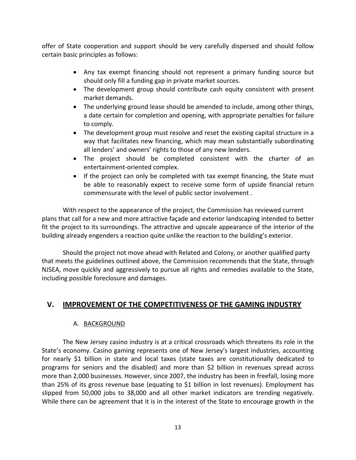offer of State cooperation and support should be very carefully dispersed and should follow certain basic principles as follows:

- Any tax exempt financing should not represent a primary funding source but should only fill a funding gap in private market sources.
- The development group should contribute cash equity consistent with present market demands.
- The underlying ground lease should be amended to include, among other things, a date certain for completion and opening, with appropriate penalties for failure to comply.
- The development group must resolve and reset the existing capital structure in a way that facilitates new financing, which may mean substantially subordinating all lenders' and owners' rights to those of any new lenders.
- The project should be completed consistent with the charter of an entertainment-oriented complex.
- If the project can only be completed with tax exempt financing, the State must be able to reasonably expect to receive some form of upside financial return commensurate with the level of public sector involvement .

With respect to the appearance of the project, the Commission has reviewed current plans that call for a new and more attractive façade and exterior landscaping intended to better fit the project to its surroundings. The attractive and upscale appearance of the interior of the building already engenders a reaction quite unlike the reaction to the building's exterior.

Should the project not move ahead with Related and Colony, or another qualified party that meets the guidelines outlined above, the Commission recommends that the State, through NJSEA, move quickly and aggressively to pursue all rights and remedies available to the State, including possible foreclosure and damages.

# **V. IMPROVEMENT OF THE COMPETITIVENESS OF THE GAMING INDUSTRY**

#### A. BACKGROUND

The New Jersey casino industry is at a critical crossroads which threatens its role in the State's economy. Casino gaming represents one of New Jersey's largest industries, accounting for nearly \$1 billion in state and local taxes (state taxes are constitutionally dedicated to programs for seniors and the disabled) and more than \$2 billion in revenues spread across more than 2,000 businesses. However, since 2007, the industry has been in freefall, losing more than 25% of its gross revenue base (equating to \$1 billion in lost revenues). Employment has slipped from 50,000 jobs to 38,000 and all other market indicators are trending negatively. While there can be agreement that it is in the interest of the State to encourage growth in the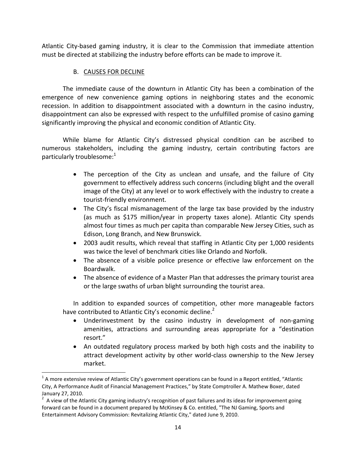Atlantic City-based gaming industry, it is clear to the Commission that immediate attention must be directed at stabilizing the industry before efforts can be made to improve it.

## B. CAUSES FOR DECLINE

The immediate cause of the downturn in Atlantic City has been a combination of the emergence of new convenience gaming options in neighboring states and the economic recession. In addition to disappointment associated with a downturn in the casino industry, disappointment can also be expressed with respect to the unfulfilled promise of casino gaming significantly improving the physical and economic condition of Atlantic City.

While blame for Atlantic City's distressed physical condition can be ascribed to numerous stakeholders, including the gaming industry, certain contributing factors are particularly troublesome: $1$ 

- The perception of the City as unclean and unsafe, and the failure of City government to effectively address such concerns (including blight and the overall image of the City) at any level or to work effectively with the industry to create a tourist-friendly environment.
- The City's fiscal mismanagement of the large tax base provided by the industry (as much as \$175 million/year in property taxes alone). Atlantic City spends almost four times as much per capita than comparable New Jersey Cities, such as Edison, Long Branch, and New Brunswick.
- 2003 audit results, which reveal that staffing in Atlantic City per 1,000 residents was twice the level of benchmark cities like Orlando and Norfolk.
- The absence of a visible police presence or effective law enforcement on the Boardwalk.
- The absence of evidence of a Master Plan that addresses the primary tourist area or the large swaths of urban blight surrounding the tourist area.

In addition to expanded sources of competition, other more manageable factors have contributed to Atlantic City's economic decline.

- Underinvestment by the casino industry in development of non-gaming amenities, attractions and surrounding areas appropriate for a "destination resort."
- An outdated regulatory process marked by both high costs and the inability to attract development activity by other world-class ownership to the New Jersey market.

 $^1$  A more extensive review of Atlantic City's government operations can be found in a Report entitled, "Atlantic City, A Performance Audit of Financial Management Practices," by State Comptroller A. Mathew Boxer, dated January 27, 2010.

<sup>&</sup>lt;sup>2</sup> A view of the Atlantic City gaming industry's recognition of past failures and its ideas for improvement going forward can be found in a document prepared by McKinsey & Co. entitled, "The NJ Gaming, Sports and Entertainment Advisory Commission: Revitalizing Atlantic City," dated June 9, 2010.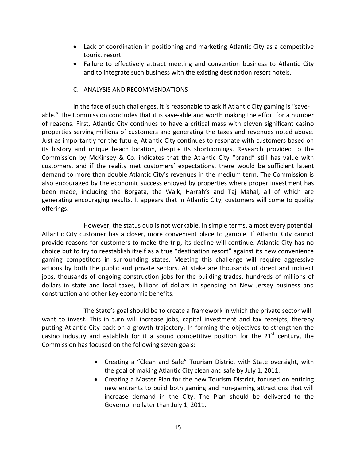- Lack of coordination in positioning and marketing Atlantic City as a competitive tourist resort.
- Failure to effectively attract meeting and convention business to Atlantic City and to integrate such business with the existing destination resort hotels.

#### C. ANALYSIS AND RECOMMENDATIONS

In the face of such challenges, it is reasonable to ask if Atlantic City gaming is "saveable." The Commission concludes that it is save-able and worth making the effort for a number of reasons. First, Atlantic City continues to have a critical mass with eleven significant casino properties serving millions of customers and generating the taxes and revenues noted above. Just as importantly for the future, Atlantic City continues to resonate with customers based on its history and unique beach location, despite its shortcomings. Research provided to the Commission by McKinsey & Co. indicates that the Atlantic City "brand" still has value with customers, and if the reality met customers' expectations, there would be sufficient latent demand to more than double Atlantic City's revenues in the medium term. The Commission is also encouraged by the economic success enjoyed by properties where proper investment has been made, including the Borgata, the Walk, Harrah's and Taj Mahal, all of which are generating encouraging results. It appears that in Atlantic City, customers will come to quality offerings.

However, the status quo is not workable. In simple terms, almost every potential Atlantic City customer has a closer, more convenient place to gamble. If Atlantic City cannot provide reasons for customers to make the trip, its decline will continue. Atlantic City has no choice but to try to reestablish itself as a true "destination resort" against its new convenience gaming competitors in surrounding states. Meeting this challenge will require aggressive actions by both the public and private sectors. At stake are thousands of direct and indirect jobs, thousands of ongoing construction jobs for the building trades, hundreds of millions of dollars in state and local taxes, billions of dollars in spending on New Jersey business and construction and other key economic benefits.

The State's goal should be to create a framework in which the private sector will want to invest. This in turn will increase jobs, capital investment and tax receipts, thereby putting Atlantic City back on a growth trajectory. In forming the objectives to strengthen the casino industry and establish for it a sound competitive position for the  $21<sup>st</sup>$  century, the Commission has focused on the following seven goals:

- Creating a "Clean and Safe" Tourism District with State oversight, with the goal of making Atlantic City clean and safe by July 1, 2011.
- Creating a Master Plan for the new Tourism District, focused on enticing new entrants to build both gaming and non-gaming attractions that will increase demand in the City. The Plan should be delivered to the Governor no later than July 1, 2011.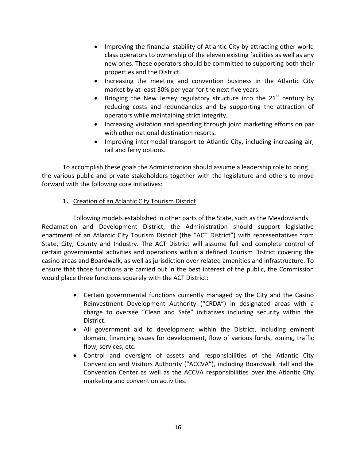- Improving the financial stability of Atlantic City by attracting other world class operators to ownership of the eleven existing facilities as well as any new ones. These operators should be committed to supporting both their properties and the District.
- Increasing the meeting and convention business in the Atlantic City market by at least 30% per year for the next five years.
- Bringing the New Jersey regulatory structure into the  $21<sup>st</sup>$  century by reducing costs and redundancies and by supporting the attraction of operators while maintaining strict integrity.
- Increasing visitation and spending through joint marketing efforts on par with other national destination resorts.
- Improving intermodal transport to Atlantic City, including increasing air, rail and ferry options.

To accomplish these goals the Administration should assume a leadership role to bring the various public and private stakeholders together with the legislature and others to move forward with the following core initiatives:

## **1.** Creation of an Atlantic City Tourism District

Following models established in other parts of the State, such as the Meadowlands Reclamation and Development District, the Administration should support legislative enactment of an Atlantic City Tourism District (the "ACT District") with representatives from State, City, County and Industry. The ACT District will assume full and complete control of certain governmental activities and operations within a defined Tourism District covering the casino areas and Boardwalk, as well as jurisdiction over related amenities and infrastructure. To ensure that those functions are carried out in the best interest of the public, the Commission would place three functions squarely with the ACT District:

- Certain governmental functions currently managed by the City and the Casino Reinvestment Development Authority ("CRDA") in designated areas with a charge to oversee "Clean and Safe" initiatives including security within the District.
- All government aid to development within the District, including eminent domain, financing issues for development, flow of various funds, zoning, traffic flow, services, etc.
- Control and oversight of assets and responsibilities of the Atlantic City Convention and Visitors Authority ("ACCVA"), including Boardwalk Hall and the Convention Center as well as the ACCVA responsibilities over the Atlantic City marketing and convention activities.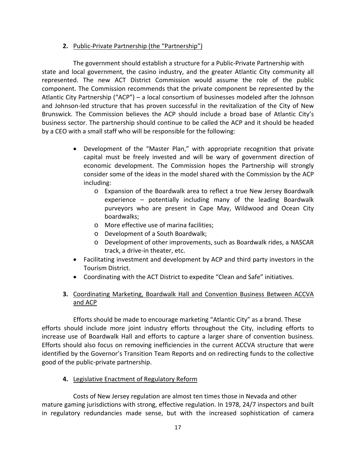## **2.** Public-Private Partnership (the "Partnership")

The government should establish a structure for a Public-Private Partnership with state and local government, the casino industry, and the greater Atlantic City community all represented. The new ACT District Commission would assume the role of the public component. The Commission recommends that the private component be represented by the Atlantic City Partnership ("ACP") – a local consortium of businesses modeled after the Johnson and Johnson-led structure that has proven successful in the revitalization of the City of New Brunswick. The Commission believes the ACP should include a broad base of Atlantic City's business sector. The partnership should continue to be called the ACP and it should be headed by a CEO with a small staff who will be responsible for the following:

- Development of the "Master Plan," with appropriate recognition that private capital must be freely invested and will be wary of government direction of economic development. The Commission hopes the Partnership will strongly consider some of the ideas in the model shared with the Commission by the ACP including:
	- o Expansion of the Boardwalk area to reflect a true New Jersey Boardwalk experience – potentially including many of the leading Boardwalk purveyors who are present in Cape May, Wildwood and Ocean City boardwalks;
	- o More effective use of marina facilities;
	- o Development of a South Boardwalk;
	- o Development of other improvements, such as Boardwalk rides, a NASCAR track, a drive-in theater, etc.
- Facilitating investment and development by ACP and third party investors in the Tourism District.
- Coordinating with the ACT District to expedite "Clean and Safe" initiatives.

## **3.** Coordinating Marketing, Boardwalk Hall and Convention Business Between ACCVA and ACP

Efforts should be made to encourage marketing "Atlantic City" as a brand. These efforts should include more joint industry efforts throughout the City, including efforts to increase use of Boardwalk Hall and efforts to capture a larger share of convention business. Efforts should also focus on removing inefficiencies in the current ACCVA structure that were identified by the Governor's Transition Team Reports and on redirecting funds to the collective good of the public-private partnership.

**4.** Legislative Enactment of Regulatory Reform

Costs of New Jersey regulation are almost ten times those in Nevada and other mature gaming jurisdictions with strong, effective regulation. In 1978, 24/7 inspectors and built in regulatory redundancies made sense, but with the increased sophistication of camera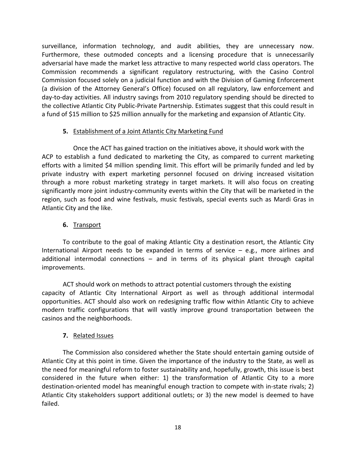surveillance, information technology, and audit abilities, they are unnecessary now. Furthermore, these outmoded concepts and a licensing procedure that is unnecessarily adversarial have made the market less attractive to many respected world class operators. The Commission recommends a significant regulatory restructuring, with the Casino Control Commission focused solely on a judicial function and with the Division of Gaming Enforcement (a division of the Attorney General's Office) focused on all regulatory, law enforcement and day-to-day activities. All industry savings from 2010 regulatory spending should be directed to the collective Atlantic City Public-Private Partnership. Estimates suggest that this could result in a fund of \$15 million to \$25 million annually for the marketing and expansion of Atlantic City.

## **5.** Establishment of a Joint Atlantic City Marketing Fund

Once the ACT has gained traction on the initiatives above, it should work with the ACP to establish a fund dedicated to marketing the City, as compared to current marketing efforts with a limited \$4 million spending limit. This effort will be primarily funded and led by private industry with expert marketing personnel focused on driving increased visitation through a more robust marketing strategy in target markets. It will also focus on creating significantly more joint industry-community events within the City that will be marketed in the region, such as food and wine festivals, music festivals, special events such as Mardi Gras in Atlantic City and the like.

## **6.** Transport

To contribute to the goal of making Atlantic City a destination resort, the Atlantic City International Airport needs to be expanded in terms of service  $-$  e.g., more airlines and additional intermodal connections – and in terms of its physical plant through capital improvements.

ACT should work on methods to attract potential customers through the existing capacity of Atlantic City International Airport as well as through additional intermodal opportunities. ACT should also work on redesigning traffic flow within Atlantic City to achieve modern traffic configurations that will vastly improve ground transportation between the casinos and the neighborhoods.

## **7.** Related Issues

The Commission also considered whether the State should entertain gaming outside of Atlantic City at this point in time. Given the importance of the industry to the State, as well as the need for meaningful reform to foster sustainability and, hopefully, growth, this issue is best considered in the future when either: 1) the transformation of Atlantic City to a more destination-oriented model has meaningful enough traction to compete with in-state rivals; 2) Atlantic City stakeholders support additional outlets; or 3) the new model is deemed to have failed.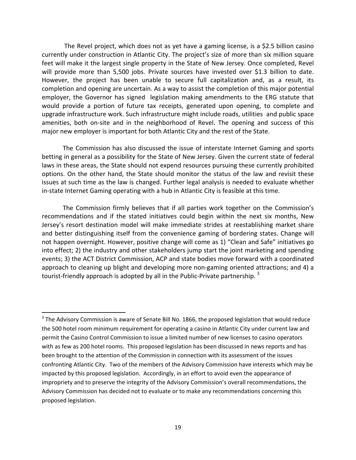The Revel project, which does not as yet have a gaming license, is a \$2.5 billion casino currently under construction in Atlantic City. The project's size of more than six million square feet will make it the largest single property in the State of New Jersey. Once completed, Revel will provide more than 5,500 jobs. Private sources have invested over \$1.3 billion to date. However, the project has been unable to secure full capitalization and, as a result, its completion and opening are uncertain. As a way to assist the completion of this major potential employer, the Governor has signed legislation making amendments to the ERG statute that would provide a portion of future tax receipts, generated upon opening, to complete and upgrade infrastructure work. Such infrastructure might include roads, utilities and public space amenities, both on-site and in the neighborhood of Revel. The opening and success of this major new employer is important for both Atlantic City and the rest of the State.

The Commission has also discussed the issue of interstate Internet Gaming and sports betting in general as a possibility for the State of New Jersey. Given the current state of federal laws in these areas, the State should not expend resources pursuing these currently prohibited options. On the other hand, the State should monitor the status of the law and revisit these issues at such time as the law is changed. Further legal analysis is needed to evaluate whether in-state Internet Gaming operating with a hub in Atlantic City is feasible at this time.

The Commission firmly believes that if all parties work together on the Commission's recommendations and if the stated initiatives could begin within the next six months, New Jersey's resort destination model will make immediate strides at reestablishing market share and better distinguishing itself from the convenience gaming of bordering states. Change will not happen overnight. However, positive change will come as 1) "Clean and Safe" initiatives go into effect; 2) the industry and other stakeholders jump start the joint marketing and spending events; 3) the ACT District Commission, ACP and state bodies move forward with a coordinated approach to cleaning up blight and developing more non-gaming oriented attractions; and 4) a tourist-friendly approach is adopted by all in the Public-Private partnership.  $3$ 

 $3$  The Advisory Commission is aware of Senate Bill No. 1866, the proposed legislation that would reduce the 500 hotel room minimum requirement for operating a casino in Atlantic City under current law and permit the Casino Control Commission to issue a limited number of new licenses to casino operators with as few as 200 hotel rooms. This proposed legislation has been discussed in news reports and has been brought to the attention of the Commission in connection with its assessment of the issues confronting Atlantic City. Two of the members of the Advisory Commission have interests which may be impacted by this proposed legislation. Accordingly, in an effort to avoid even the appearance of impropriety and to preserve the integrity of the Advisory Commission's overall recommendations, the Advisory Commission has decided not to evaluate or to make any recommendations concerning this proposed legislation.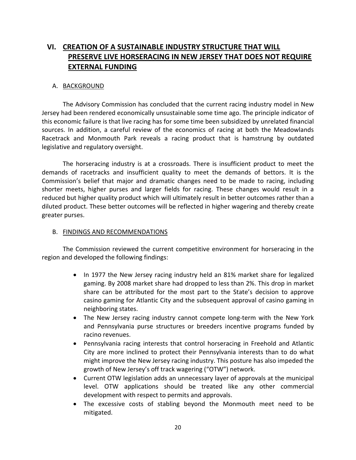# **VI. CREATION OF A SUSTAINABLE INDUSTRY STRUCTURE THAT WILL PRESERVE LIVE HORSERACING IN NEW JERSEY THAT DOES NOT REQUIRE EXTERNAL FUNDING**

#### A. BACKGROUND

The Advisory Commission has concluded that the current racing industry model in New Jersey had been rendered economically unsustainable some time ago. The principle indicator of this economic failure is that live racing has for some time been subsidized by unrelated financial sources. In addition, a careful review of the economics of racing at both the Meadowlands Racetrack and Monmouth Park reveals a racing product that is hamstrung by outdated legislative and regulatory oversight.

The horseracing industry is at a crossroads. There is insufficient product to meet the demands of racetracks and insufficient quality to meet the demands of bettors. It is the Commission's belief that major and dramatic changes need to be made to racing, including shorter meets, higher purses and larger fields for racing. These changes would result in a reduced but higher quality product which will ultimately result in better outcomes rather than a diluted product. These better outcomes will be reflected in higher wagering and thereby create greater purses.

#### B. FINDINGS AND RECOMMENDATIONS

The Commission reviewed the current competitive environment for horseracing in the region and developed the following findings:

- In 1977 the New Jersey racing industry held an 81% market share for legalized gaming. By 2008 market share had dropped to less than 2%. This drop in market share can be attributed for the most part to the State's decision to approve casino gaming for Atlantic City and the subsequent approval of casino gaming in neighboring states.
- The New Jersey racing industry cannot compete long-term with the New York and Pennsylvania purse structures or breeders incentive programs funded by racino revenues.
- Pennsylvania racing interests that control horseracing in Freehold and Atlantic City are more inclined to protect their Pennsylvania interests than to do what might improve the New Jersey racing industry. This posture has also impeded the growth of New Jersey's off track wagering ("OTW") network.
- Current OTW legislation adds an unnecessary layer of approvals at the municipal level. OTW applications should be treated like any other commercial development with respect to permits and approvals.
- The excessive costs of stabling beyond the Monmouth meet need to be mitigated.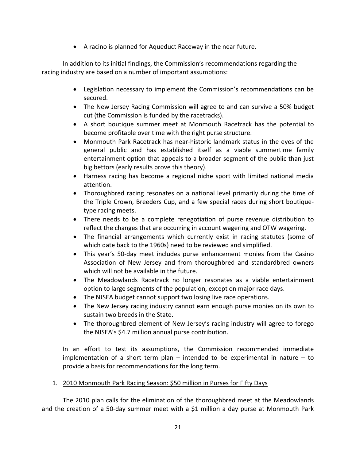• A racino is planned for Aqueduct Raceway in the near future.

In addition to its initial findings, the Commission's recommendations regarding the racing industry are based on a number of important assumptions:

- Legislation necessary to implement the Commission's recommendations can be secured.
- The New Jersey Racing Commission will agree to and can survive a 50% budget cut (the Commission is funded by the racetracks).
- A short boutique summer meet at Monmouth Racetrack has the potential to become profitable over time with the right purse structure.
- Monmouth Park Racetrack has near-historic landmark status in the eyes of the general public and has established itself as a viable summertime family entertainment option that appeals to a broader segment of the public than just big bettors (early results prove this theory).
- Harness racing has become a regional niche sport with limited national media attention.
- Thoroughbred racing resonates on a national level primarily during the time of the Triple Crown, Breeders Cup, and a few special races during short boutiquetype racing meets.
- There needs to be a complete renegotiation of purse revenue distribution to reflect the changes that are occurring in account wagering and OTW wagering.
- The financial arrangements which currently exist in racing statutes (some of which date back to the 1960s) need to be reviewed and simplified.
- This year's 50-day meet includes purse enhancement monies from the Casino Association of New Jersey and from thoroughbred and standardbred owners which will not be available in the future.
- The Meadowlands Racetrack no longer resonates as a viable entertainment option to large segments of the population, except on major race days.
- The NJSEA budget cannot support two losing live race operations.
- The New Jersey racing industry cannot earn enough purse monies on its own to sustain two breeds in the State.
- The thoroughbred element of New Jersey's racing industry will agree to forego the NJSEA's \$4.7 million annual purse contribution.

In an effort to test its assumptions, the Commission recommended immediate implementation of a short term plan  $-$  intended to be experimental in nature  $-$  to provide a basis for recommendations for the long term.

#### 1. 2010 Monmouth Park Racing Season: \$50 million in Purses for Fifty Days

The 2010 plan calls for the elimination of the thoroughbred meet at the Meadowlands and the creation of a 50-day summer meet with a \$1 million a day purse at Monmouth Park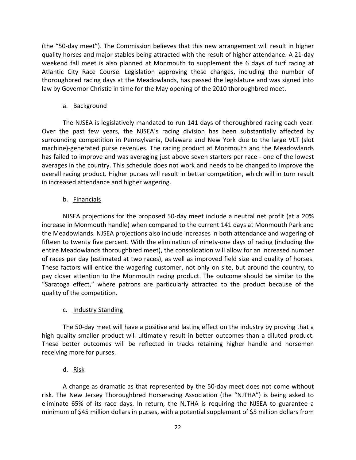(the "50-day meet"). The Commission believes that this new arrangement will result in higher quality horses and major stables being attracted with the result of higher attendance. A 21-day weekend fall meet is also planned at Monmouth to supplement the 6 days of turf racing at Atlantic City Race Course. Legislation approving these changes, including the number of thoroughbred racing days at the Meadowlands, has passed the legislature and was signed into law by Governor Christie in time for the May opening of the 2010 thoroughbred meet.

#### a. Background

The NJSEA is legislatively mandated to run 141 days of thoroughbred racing each year. Over the past few years, the NJSEA's racing division has been substantially affected by surrounding competition in Pennsylvania, Delaware and New York due to the large VLT (slot machine)-generated purse revenues. The racing product at Monmouth and the Meadowlands has failed to improve and was averaging just above seven starters per race - one of the lowest averages in the country. This schedule does not work and needs to be changed to improve the overall racing product. Higher purses will result in better competition, which will in turn result in increased attendance and higher wagering.

## b. Financials

NJSEA projections for the proposed 50-day meet include a neutral net profit (at a 20% increase in Monmouth handle) when compared to the current 141 days at Monmouth Park and the Meadowlands. NJSEA projections also include increases in both attendance and wagering of fifteen to twenty five percent. With the elimination of ninety-one days of racing (including the entire Meadowlands thoroughbred meet), the consolidation will allow for an increased number of races per day (estimated at two races), as well as improved field size and quality of horses. These factors will entice the wagering customer, not only on site, but around the country, to pay closer attention to the Monmouth racing product. The outcome should be similar to the "Saratoga effect," where patrons are particularly attracted to the product because of the quality of the competition.

## c. Industry Standing

The 50-day meet will have a positive and lasting effect on the industry by proving that a high quality smaller product will ultimately result in better outcomes than a diluted product. These better outcomes will be reflected in tracks retaining higher handle and horsemen receiving more for purses.

## d. Risk

A change as dramatic as that represented by the 50-day meet does not come without risk. The New Jersey Thoroughbred Horseracing Association (the "NJTHA") is being asked to eliminate 65% of its race days. In return, the NJTHA is requiring the NJSEA to guarantee a minimum of \$45 million dollars in purses, with a potential supplement of \$5 million dollars from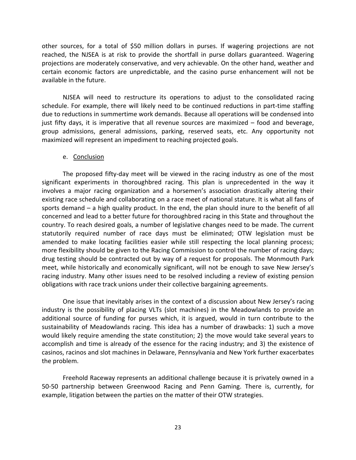other sources, for a total of \$50 million dollars in purses. If wagering projections are not reached, the NJSEA is at risk to provide the shortfall in purse dollars guaranteed. Wagering projections are moderately conservative, and very achievable. On the other hand, weather and certain economic factors are unpredictable, and the casino purse enhancement will not be available in the future.

NJSEA will need to restructure its operations to adjust to the consolidated racing schedule. For example, there will likely need to be continued reductions in part-time staffing due to reductions in summertime work demands. Because all operations will be condensed into just fifty days, it is imperative that all revenue sources are maximized – food and beverage, group admissions, general admissions, parking, reserved seats, etc. Any opportunity not maximized will represent an impediment to reaching projected goals.

#### e. Conclusion

The proposed fifty-day meet will be viewed in the racing industry as one of the most significant experiments in thoroughbred racing. This plan is unprecedented in the way it involves a major racing organization and a horsemen's association drastically altering their existing race schedule and collaborating on a race meet of national stature. It is what all fans of sports demand – a high quality product. In the end, the plan should inure to the benefit of all concerned and lead to a better future for thoroughbred racing in this State and throughout the country. To reach desired goals, a number of legislative changes need to be made. The current statutorily required number of race days must be eliminated; OTW legislation must be amended to make locating facilities easier while still respecting the local planning process; more flexibility should be given to the Racing Commission to control the number of racing days; drug testing should be contracted out by way of a request for proposals. The Monmouth Park meet, while historically and economically significant, will not be enough to save New Jersey's racing industry. Many other issues need to be resolved including a review of existing pension obligations with race track unions under their collective bargaining agreements.

One issue that inevitably arises in the context of a discussion about New Jersey's racing industry is the possibility of placing VLTs (slot machines) in the Meadowlands to provide an additional source of funding for purses which, it is argued, would in turn contribute to the sustainability of Meadowlands racing. This idea has a number of drawbacks: 1) such a move would likely require amending the state constitution; 2) the move would take several years to accomplish and time is already of the essence for the racing industry; and 3) the existence of casinos, racinos and slot machines in Delaware, Pennsylvania and New York further exacerbates the problem.

Freehold Raceway represents an additional challenge because it is privately owned in a 50-50 partnership between Greenwood Racing and Penn Gaming. There is, currently, for example, litigation between the parties on the matter of their OTW strategies.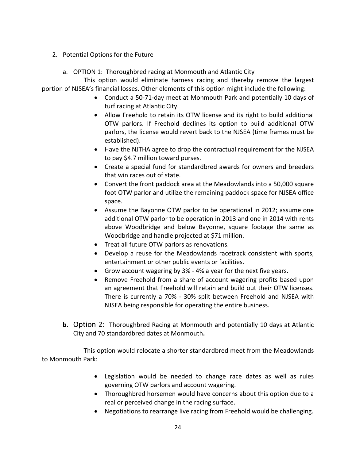#### 2. Potential Options for the Future

a. OPTION 1: Thoroughbred racing at Monmouth and Atlantic City

 This option would eliminate harness racing and thereby remove the largest portion of NJSEA's financial losses. Other elements of this option might include the following:

- Conduct a 50-71-day meet at Monmouth Park and potentially 10 days of turf racing at Atlantic City.
- Allow Freehold to retain its OTW license and its right to build additional OTW parlors. If Freehold declines its option to build additional OTW parlors, the license would revert back to the NJSEA (time frames must be established).
- Have the NJTHA agree to drop the contractual requirement for the NJSEA to pay \$4.7 million toward purses.
- Create a special fund for standardbred awards for owners and breeders that win races out of state.
- Convert the front paddock area at the Meadowlands into a 50,000 square foot OTW parlor and utilize the remaining paddock space for NJSEA office space.
- Assume the Bayonne OTW parlor to be operational in 2012; assume one additional OTW parlor to be operation in 2013 and one in 2014 with rents above Woodbridge and below Bayonne, square footage the same as Woodbridge and handle projected at \$71 million.
- Treat all future OTW parlors as renovations.
- Develop a reuse for the Meadowlands racetrack consistent with sports, entertainment or other public events or facilities.
- Grow account wagering by  $3\%$  4% a year for the next five years.
- Remove Freehold from a share of account wagering profits based upon an agreement that Freehold will retain and build out their OTW licenses. There is currently a 70% - 30% split between Freehold and NJSEA with NJSEA being responsible for operating the entire business.
- **b.** Option 2: Thoroughbred Racing at Monmouth and potentially 10 days at Atlantic City and 70 standardbred dates at Monmouth**.**

This option would relocate a shorter standardbred meet from the Meadowlands to Monmouth Park:

- Legislation would be needed to change race dates as well as rules governing OTW parlors and account wagering.
- Thoroughbred horsemen would have concerns about this option due to a real or perceived change in the racing surface.
- Negotiations to rearrange live racing from Freehold would be challenging.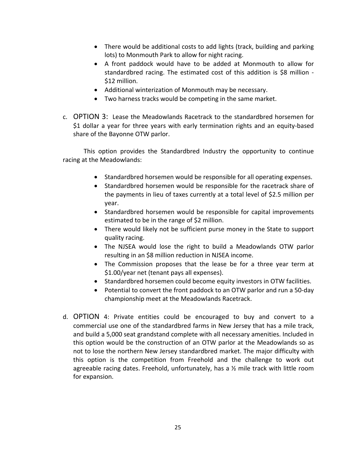- There would be additional costs to add lights (track, building and parking lots) to Monmouth Park to allow for night racing.
- A front paddock would have to be added at Monmouth to allow for standardbred racing. The estimated cost of this addition is \$8 million -\$12 million.
- Additional winterization of Monmouth may be necessary.
- Two harness tracks would be competing in the same market.
- c. OPTION 3: Lease the Meadowlands Racetrack to the standardbred horsemen for \$1 dollar a year for three years with early termination rights and an equity-based share of the Bayonne OTW parlor.

This option provides the Standardbred Industry the opportunity to continue racing at the Meadowlands:

- Standardbred horsemen would be responsible for all operating expenses.
- Standardbred horsemen would be responsible for the racetrack share of the payments in lieu of taxes currently at a total level of \$2.5 million per year.
- Standardbred horsemen would be responsible for capital improvements estimated to be in the range of \$2 million.
- There would likely not be sufficient purse money in the State to support quality racing.
- The NJSEA would lose the right to build a Meadowlands OTW parlor resulting in an \$8 million reduction in NJSEA income.
- The Commission proposes that the lease be for a three year term at \$1.00/year net (tenant pays all expenses).
- Standardbred horsemen could become equity investors in OTW facilities.
- Potential to convert the front paddock to an OTW parlor and run a 50-day championship meet at the Meadowlands Racetrack.
- d. OPTION 4: Private entities could be encouraged to buy and convert to a commercial use one of the standardbred farms in New Jersey that has a mile track, and build a 5,000 seat grandstand complete with all necessary amenities. Included in this option would be the construction of an OTW parlor at the Meadowlands so as not to lose the northern New Jersey standardbred market. The major difficulty with this option is the competition from Freehold and the challenge to work out agreeable racing dates. Freehold, unfortunately, has a ½ mile track with little room for expansion.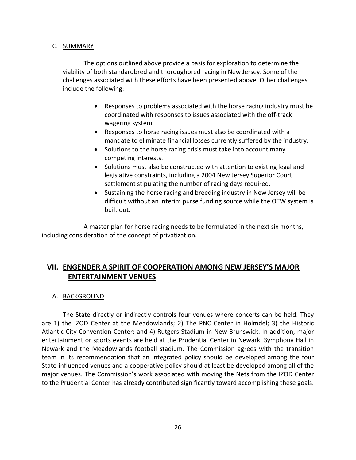#### C. SUMMARY

The options outlined above provide a basis for exploration to determine the viability of both standardbred and thoroughbred racing in New Jersey. Some of the challenges associated with these efforts have been presented above. Other challenges include the following:

- Responses to problems associated with the horse racing industry must be coordinated with responses to issues associated with the off-track wagering system.
- Responses to horse racing issues must also be coordinated with a mandate to eliminate financial losses currently suffered by the industry.
- Solutions to the horse racing crisis must take into account many competing interests.
- Solutions must also be constructed with attention to existing legal and legislative constraints, including a 2004 New Jersey Superior Court settlement stipulating the number of racing days required.
- Sustaining the horse racing and breeding industry in New Jersey will be difficult without an interim purse funding source while the OTW system is built out.

A master plan for horse racing needs to be formulated in the next six months, including consideration of the concept of privatization.

# **VII. ENGENDER A SPIRIT OF COOPERATION AMONG NEW JERSEY'S MAJOR ENTERTAINMENT VENUES**

#### A. BACKGROUND

The State directly or indirectly controls four venues where concerts can be held. They are 1) the IZOD Center at the Meadowlands; 2) The PNC Center in Holmdel; 3) the Historic Atlantic City Convention Center; and 4) Rutgers Stadium in New Brunswick. In addition, major entertainment or sports events are held at the Prudential Center in Newark, Symphony Hall in Newark and the Meadowlands football stadium. The Commission agrees with the transition team in its recommendation that an integrated policy should be developed among the four State-influenced venues and a cooperative policy should at least be developed among all of the major venues. The Commission's work associated with moving the Nets from the IZOD Center to the Prudential Center has already contributed significantly toward accomplishing these goals.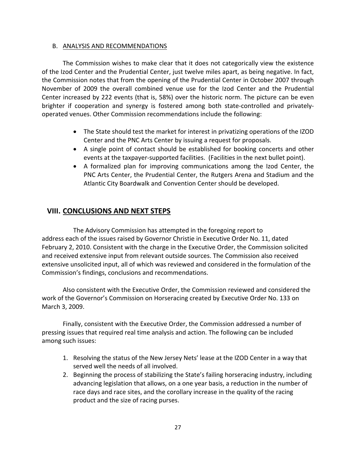#### B. ANALYSIS AND RECOMMENDATIONS

The Commission wishes to make clear that it does not categorically view the existence of the Izod Center and the Prudential Center, just twelve miles apart, as being negative. In fact, the Commission notes that from the opening of the Prudential Center in October 2007 through November of 2009 the overall combined venue use for the Izod Center and the Prudential Center increased by 222 events (that is, 58%) over the historic norm. The picture can be even brighter if cooperation and synergy is fostered among both state-controlled and privatelyoperated venues. Other Commission recommendations include the following:

- The State should test the market for interest in privatizing operations of the IZOD Center and the PNC Arts Center by issuing a request for proposals.
- A single point of contact should be established for booking concerts and other events at the taxpayer-supported facilities. (Facilities in the next bullet point).
- A formalized plan for improving communications among the Izod Center, the PNC Arts Center, the Prudential Center, the Rutgers Arena and Stadium and the Atlantic City Boardwalk and Convention Center should be developed.

## **VIII. CONCLUSIONS AND NEXT STEPS**

The Advisory Commission has attempted in the foregoing report to address each of the issues raised by Governor Christie in Executive Order No. 11, dated February 2, 2010. Consistent with the charge in the Executive Order, the Commission solicited and received extensive input from relevant outside sources. The Commission also received extensive unsolicited input, all of which was reviewed and considered in the formulation of the Commission's findings, conclusions and recommendations.

Also consistent with the Executive Order, the Commission reviewed and considered the work of the Governor's Commission on Horseracing created by Executive Order No. 133 on March 3, 2009.

Finally, consistent with the Executive Order, the Commission addressed a number of pressing issues that required real time analysis and action. The following can be included among such issues:

- 1. Resolving the status of the New Jersey Nets' lease at the IZOD Center in a way that served well the needs of all involved.
- 2. Beginning the process of stabilizing the State's failing horseracing industry, including advancing legislation that allows, on a one year basis, a reduction in the number of race days and race sites, and the corollary increase in the quality of the racing product and the size of racing purses.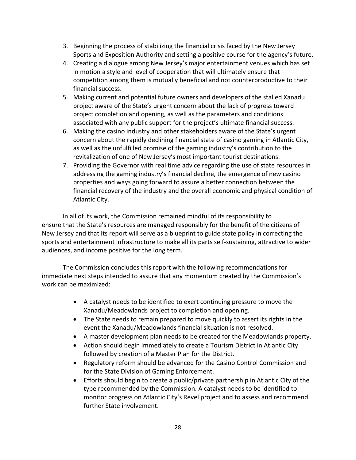- 3. Beginning the process of stabilizing the financial crisis faced by the New Jersey Sports and Exposition Authority and setting a positive course for the agency's future.
- 4. Creating a dialogue among New Jersey's major entertainment venues which has set in motion a style and level of cooperation that will ultimately ensure that competition among them is mutually beneficial and not counterproductive to their financial success.
- 5. Making current and potential future owners and developers of the stalled Xanadu project aware of the State's urgent concern about the lack of progress toward project completion and opening, as well as the parameters and conditions associated with any public support for the project's ultimate financial success.
- 6. Making the casino industry and other stakeholders aware of the State's urgent concern about the rapidly declining financial state of casino gaming in Atlantic City, as well as the unfulfilled promise of the gaming industry's contribution to the revitalization of one of New Jersey's most important tourist destinations.
- 7. Providing the Governor with real time advice regarding the use of state resources in addressing the gaming industry's financial decline, the emergence of new casino properties and ways going forward to assure a better connection between the financial recovery of the industry and the overall economic and physical condition of Atlantic City.

In all of its work, the Commission remained mindful of its responsibility to ensure that the State's resources are managed responsibly for the benefit of the citizens of New Jersey and that its report will serve as a blueprint to guide state policy in correcting the sports and entertainment infrastructure to make all its parts self-sustaining, attractive to wider audiences, and income positive for the long term.

The Commission concludes this report with the following recommendations for immediate next steps intended to assure that any momentum created by the Commission's work can be maximized:

- A catalyst needs to be identified to exert continuing pressure to move the Xanadu/Meadowlands project to completion and opening.
- The State needs to remain prepared to move quickly to assert its rights in the event the Xanadu/Meadowlands financial situation is not resolved.
- A master development plan needs to be created for the Meadowlands property.
- Action should begin immediately to create a Tourism District in Atlantic City followed by creation of a Master Plan for the District.
- Regulatory reform should be advanced for the Casino Control Commission and for the State Division of Gaming Enforcement.
- Efforts should begin to create a public/private partnership in Atlantic City of the type recommended by the Commission. A catalyst needs to be identified to monitor progress on Atlantic City's Revel project and to assess and recommend further State involvement.